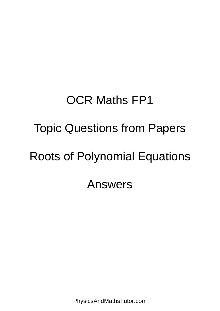## OCR Maths FP1 Topic Questions from Papers Roots of Polynomial Equations Answers

PhysicsAndMathsTutor.com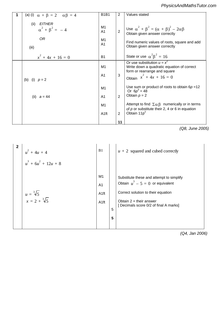## Their part (i) or 10 + 15i derived again / 5 *PhysicsAndMathsTutor.com*

|            | 1 | (a) (i) $\alpha + \beta = 2$ $\alpha\beta = 4$ | <b>B1B1</b>      | 2              | Values stated                                                 |
|------------|---|------------------------------------------------|------------------|----------------|---------------------------------------------------------------|
|            |   |                                                |                  |                |                                                               |
|            |   | $(ii)$ $EITHER$                                |                  |                |                                                               |
|            |   | $\alpha^{2} + \beta^{2} = -4$                  | M1               |                | Use $\alpha^2 + \beta^2 = (\alpha + \beta)^2 - 2\alpha\beta$  |
|            |   |                                                | A <sub>1</sub>   | $\overline{2}$ | Obtain given answer correctly                                 |
| <b>PMT</b> |   | <b>OR</b>                                      | M1               |                |                                                               |
|            |   |                                                | A <sub>1</sub>   |                | Find numeric values of roots, square and add                  |
|            |   | (iii)                                          |                  |                | Obtain given answer correctly                                 |
|            |   |                                                |                  |                |                                                               |
|            |   | $x^2 + 4x + 16 = 0$                            | <b>B1</b>        |                | State or use $\alpha^2 \beta^2 = 16$                          |
|            |   |                                                |                  |                | Or use substitution $u = x^2$                                 |
|            |   |                                                | M1               |                | Write down a quadratic equation of correct                    |
|            |   |                                                |                  |                | form or rearrange and square                                  |
|            |   |                                                | A <sub>1</sub>   | 3              | Obtain $x^2 + 4x + 16 = 0$                                    |
|            |   | (b) (i) $p = 2$                                |                  |                |                                                               |
|            |   |                                                | M <sub>1</sub>   |                | Use sum or product of roots to obtain $6p = 12$               |
|            |   |                                                |                  |                | Or $6p^3 = 48$                                                |
|            |   | (ii) $a = 44$                                  | A1               | $\overline{2}$ | Obtain $p = 2$                                                |
|            |   |                                                |                  |                |                                                               |
|            |   |                                                | M <sub>1</sub>   |                | Attempt to find $\Sigma \alpha \beta$ numerically or in terms |
|            |   |                                                |                  |                | of $p$ or substitute their 2, 4 or 6 in equation              |
|            |   |                                                | A <sub>1ft</sub> | $\overline{2}$ | Obtain $11p^2$                                                |
|            |   |                                                |                  |                |                                                               |
|            |   |                                                |                  | 11             |                                                               |

 $\overline{\phantom{0}}$ 

 $\mathcal{O}(\mathcal{O}_\mathcal{A})$  or  $\mathcal{O}(\mathcal{O}_\mathcal{A})$  or  $\mathcal{O}(\mathcal{O}_\mathcal{A})$ 

*(Q8, June 2005)* State that **M** is non-singular as det **M** non-zero, ft

| $\overline{2}$ | $u^{2} + 4u + 4$<br>$u^3 + 6u^2 + 12u + 8$ | <b>B</b> 1                                                   |        | $u + 2$ squared and cubed correctly                                                                                                                                                        |
|----------------|--------------------------------------------|--------------------------------------------------------------|--------|--------------------------------------------------------------------------------------------------------------------------------------------------------------------------------------------|
|                | $u = \sqrt[3]{5}$<br>$x = 2 + \sqrt[3]{5}$ | M1<br>A <sub>1</sub><br>A <sub>1ft</sub><br>A <sub>1ft</sub> | 5<br>5 | Substitute these and attempt to simplify<br>Obtain $u^3 - 5 = 0$ or equivalent<br>Correct solution to their equation<br>Obtain $2 +$ their answer<br>[Decimals score 0/2 of final A marks] |

*(Q4, Jan 2006)*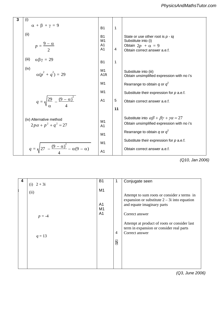$\infty$  →  $\infty$  is a method extended extended extended extended extended extended extended extended extended extended extended extended extended extended extended extended extended extended extended extended extended extend *PhysicsAndMathsTutor.com* 

| 3<br>(i)                                                  |                                                     |             |                                                                                                                        |
|-----------------------------------------------------------|-----------------------------------------------------|-------------|------------------------------------------------------------------------------------------------------------------------|
| $\alpha + \beta + \gamma = 9$                             | <b>B1</b>                                           | 1           |                                                                                                                        |
| (ii)<br>$p = \frac{9 - \alpha}{2}$                        | <b>B1</b><br>M1<br>A <sub>1</sub><br>A <sub>1</sub> | 4           | State or use other root is $p - iq$<br>Substitute into (i)<br>Obtain $2p + \alpha = 9$<br>Obtain correct answer a.e.f. |
| (iii)<br>$\alpha\beta\gamma=29$                           | <b>B1</b>                                           | $\mathbf 1$ |                                                                                                                        |
| (iv)<br>$\alpha(p^2 + q^2) = 29$                          | M1<br>A <sub>1ft</sub>                              |             | Substitute into (iii)<br>Obtain unsimplified expression with no i's                                                    |
|                                                           | M1                                                  |             | Rearrange to obtain q or $q^2$                                                                                         |
|                                                           | M1                                                  |             | Substitute their expression for $p$ a.e.f.                                                                             |
| $q = \sqrt{\frac{29}{\alpha} - \frac{(9 - \alpha)^2}{4}}$ | A1                                                  | 5           | Obtain correct answer a.e.f.                                                                                           |
|                                                           |                                                     | 11          |                                                                                                                        |
| (iv) Alternative method<br>$2p\alpha + p^2 + q^2 = 27$    | M <sub>1</sub><br>A <sub>1</sub>                    |             | Substitute into $\alpha\beta + \beta\gamma + \gamma\alpha = 27$<br>Obtain unsimplified expression with no i's          |
|                                                           | M <sub>1</sub>                                      |             | Rearrange to obtain q or $q^2$                                                                                         |
|                                                           | M1                                                  |             | Substitute their expression for $p$ a.e.f.                                                                             |
| $-\frac{(9-\alpha)^2}{4}-\alpha(9-\alpha)$<br>$\sqrt{27}$ | A1                                                  |             | Obtain correct answer a.e.f.                                                                                           |

*(Q10, Jan 2006)*

| 4 | (i) $2 + 3i$ | <b>B1</b>            | 1              | Conjugate seen                                                                                                                |
|---|--------------|----------------------|----------------|-------------------------------------------------------------------------------------------------------------------------------|
|   | (ii)         | M <sub>1</sub>       |                |                                                                                                                               |
|   |              | A <sub>1</sub><br>M1 |                | Attempt to sum roots or consider $x$ terms in<br>expansion or substitute $2 - 3i$ into equation<br>and equate imaginary parts |
|   | $p = -4$     | A <sub>1</sub>       |                | Correct answer                                                                                                                |
|   | $q = 13$     |                      | $\overline{4}$ | Attempt at product of roots or consider last<br>term in expansion or consider real parts<br>Correct answer                    |
|   |              |                      | 5              |                                                                                                                               |
|   |              |                      |                |                                                                                                                               |
|   |              |                      |                |                                                                                                                               |

*(Q3, June 2006)*

*PMT*

0

1

—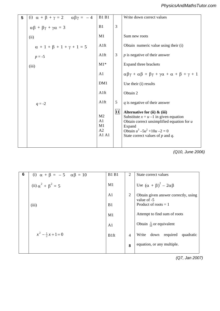| 5 | (i) $\alpha + \beta + \gamma = 2$ $\alpha\beta\gamma = -4$ | <b>B1 B1</b>                                                      |    | Write down correct values                                                                                                                                                                                           |
|---|------------------------------------------------------------|-------------------------------------------------------------------|----|---------------------------------------------------------------------------------------------------------------------------------------------------------------------------------------------------------------------|
|   | $\alpha\beta + \beta\gamma + \gamma\alpha = 3$             | B1                                                                | 3  |                                                                                                                                                                                                                     |
|   | (ii)                                                       | M1                                                                |    | Sum new roots                                                                                                                                                                                                       |
|   | $\alpha + 1 + \beta + 1 + \gamma + 1 = 5$                  | A1ft                                                              |    | Obtain numeric value using their (i)                                                                                                                                                                                |
|   | $p = -5$                                                   | A1ft                                                              | 3  | $p$ is negative of their answer                                                                                                                                                                                     |
|   | (iii)                                                      | $M1*$                                                             |    | Expand three brackets                                                                                                                                                                                               |
|   |                                                            | A <sub>1</sub>                                                    |    | $\alpha\beta\gamma + \alpha\beta + \beta\gamma + \gamma\alpha + \alpha + \beta + \gamma + 1$                                                                                                                        |
|   |                                                            | DM1                                                               |    | Use their (i) results                                                                                                                                                                                               |
|   |                                                            | A1ft                                                              |    | Obtain 2                                                                                                                                                                                                            |
|   | $q = -2$                                                   | A1ft                                                              | 5  | $q$ is negative of their answer                                                                                                                                                                                     |
|   |                                                            | M <sub>2</sub><br>A <sub>1</sub><br>M1<br>A <sub>2</sub><br>A1 A1 | 11 | Alternative for (ii) $\&$ (iii)<br>Substitute $x = u - 1$ in given equation<br>Obtain correct unsimplified equation for $u$<br>Expand<br>Obtain $u^3 - 5u^2 + 10u - 2 = 0$<br>State correct values of $p$ and $q$ . |

*(Q10, June 2006)* Correct conclusion reached for *un+1*

| (i) $\alpha + \beta = -5$ $\alpha\beta = 10$ | <b>B1 B1</b>     | 2              | State correct values                                |
|----------------------------------------------|------------------|----------------|-----------------------------------------------------|
| (ii) $\alpha^2 + \beta^2 = 5$                | M1               |                | Use $(\alpha + \beta)^2 - 2\alpha\beta$             |
|                                              | A <sub>1</sub>   | $\overline{2}$ | Obtain given answer correctly, using<br>value of -5 |
| (iii)                                        | B1               |                | Product of roots $= 1$                              |
|                                              | M1               |                | Attempt to find sum of roots                        |
|                                              | A <sub>1</sub>   |                | Obtain $\frac{5}{10}$ or equivalent                 |
| $x^2 - \frac{1}{2}x + 1 = 0$                 | B <sub>1ft</sub> | $\overline{4}$ | down required<br>Write<br>quadratic                 |
|                                              |                  | 8              | equation, or any multiple.                          |

*(Q7, Jan 2007)*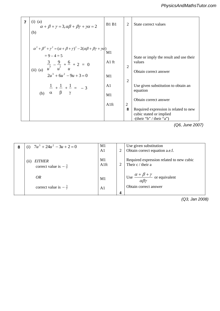|    | $\overline{7}$ | $(i)$ $(a)$<br>$\alpha + \beta + \gamma = 3, \alpha\beta + \beta\gamma + \gamma\alpha = 2$                                           | <b>B1 B1</b> | 2                   | State correct values                                |  |
|----|----------------|--------------------------------------------------------------------------------------------------------------------------------------|--------------|---------------------|-----------------------------------------------------|--|
| MT |                | (b)                                                                                                                                  |              |                     |                                                     |  |
|    |                | $\alpha^{2} + \beta^{2} + \gamma^{2} = (\alpha + \beta + \gamma)^{2} - 2(\alpha\beta + \beta\gamma + \gamma\alpha)$<br>$= 9 - 4 = 5$ | M1           |                     |                                                     |  |
|    |                | $\frac{3}{3} - \frac{9}{2} + \frac{6}{2} + 2 = 0$                                                                                    | $A1$ ft      | $\overline{2}$      | State or imply the result and use their<br>values   |  |
|    |                | (ii) (a) $\overline{u}$ $\overline{u}$ $\overline{u}$ $\overline{u}$<br>$2u^3 + 6u^2 - 9u + 3 = 0$                                   | M1           | $\overline{2}$      | Obtain correct answer                               |  |
|    |                | (b) $\frac{1}{\alpha} + \frac{1}{\beta} + \frac{1}{\gamma} = -3$                                                                     | A1           |                     | Use given substitution to obtain an<br>equation     |  |
|    |                |                                                                                                                                      | M1           |                     | Obtain correct answer                               |  |
|    |                |                                                                                                                                      | Alft         | $\overline{2}$<br>8 | Required expression is related to new               |  |
|    |                |                                                                                                                                      |              |                     | cubic stated or implied<br>-(their "b" / their "a") |  |
|    |                |                                                                                                                                      |              |                     | (06, June 2007)                                     |  |

*(Q6, June 2007)*

| 8 | (i) $7u^3 + 24u^2 - 3u + 2 = 0$                         | M1<br>A <sub>1</sub> |   | Use given substitution<br>Obtain correct equation a.e.f.                      |
|---|---------------------------------------------------------|----------------------|---|-------------------------------------------------------------------------------|
|   | <b>EITHER</b><br>(i)<br>correct value is $-\frac{3}{7}$ | M1<br>A1ft           |   | Required expression related to new cubic<br>Their c / their a                 |
|   | OR                                                      | M <sub>1</sub>       |   | $\int \csc \frac{\alpha + \beta + \gamma}{\alpha \beta \gamma}$ or equivalent |
|   | correct value is $-\frac{3}{7}$                         | A <sub>1</sub>       | 4 | Obtain correct answer                                                         |

*(Q3, Jan 2008)*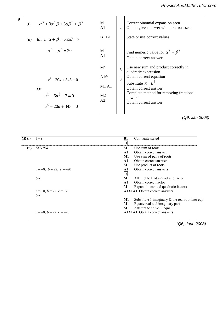| 9 | (i)  | $\alpha^3 + 3\alpha^2\beta + 3\alpha\beta^2 + \beta^3$ | M1<br>A1             | $\overline{2}$ | Correct binomial expansion seen<br>Obtain given answer with no errors seen |
|---|------|--------------------------------------------------------|----------------------|----------------|----------------------------------------------------------------------------|
|   | (ii) | Either $\alpha + \beta = 5, \alpha\beta = 7$           | <b>B1 B1</b>         |                | State or use correct values                                                |
|   |      | $\alpha^3 + \beta^3 = 20$                              | M1<br>A <sub>1</sub> |                | Find numeric value for $\alpha^3 + \beta^3$<br>Obtain correct answer       |
|   |      |                                                        | M1                   | 6              | Use new sum and product correctly in<br>quadratic expression               |
|   |      | $x^2 - 20x + 343 = 0$                                  | Alft                 | 8              | Obtain correct equation                                                    |
|   |      | Or                                                     | <b>M1 A1</b>         |                | Substitute $x = u^{\frac{1}{3}}$<br>Obtain correct answer                  |
|   |      | $u^{\frac{2}{3}} - 5u^{\frac{1}{3}} + 7 = 0$           | M <sub>2</sub>       |                | Complete method for removing fractional<br>powers                          |
|   |      | $u^3 - 20u + 343 = 0$                                  |                      |                | Obtain correct answer                                                      |
|   |      |                                                        |                      | A2             |                                                                            |

*(Q9, Jan 2008)*

| 10(i) | $3 - i$                                | Conjugate stated<br>B1                                   |
|-------|----------------------------------------|----------------------------------------------------------|
|       |                                        |                                                          |
| (ii)  | <i>EITHER</i>                          | M1<br>Use sum of roots                                   |
|       |                                        | Obtain correct answer<br>A1                              |
|       |                                        | Use sum of pairs of roots<br><b>M1</b>                   |
|       |                                        | Obtain correct answer<br>$\mathbf{A1}$                   |
|       |                                        | Use product of roots<br>M1                               |
|       | $a = -8$ , $b = 22$ , $c = -20$        | Obtain correct answers<br>A1                             |
|       |                                        | -6                                                       |
|       | OR.                                    | M1<br>Attempt to find a quadratic factor                 |
|       |                                        | Obtain correct factor<br>A1                              |
|       |                                        | Expand linear and quadratic factors<br>M1                |
|       | $a = -8$ , $b = 22$ , $c = -20$<br>OR. | <b>A1A1A1</b> Obtain correct answers                     |
|       |                                        | Substitute 1 imaginary $\&$ the real root into eqn<br>M1 |
|       |                                        | Equate real and imaginary parts<br>M1                    |
|       |                                        | Attempt to solve 3 eqns.<br>M1                           |
|       | $a = -8$ , $b = 22$ , $c = -20$        | <b>A1A1A1</b> Obtain correct answers                     |

**7 (i) B1** Enlargement (centre *O*) scale factor 6 *(Q6, June 2008)*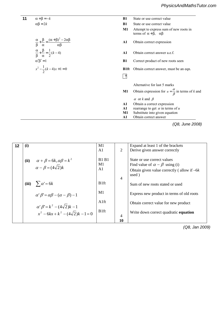11 
$$
\alpha + \beta = -k
$$
  
\n $\alpha\beta = 2k$   
\nB1 State or use correct value  
\nB1 State or use correct value  
\nB1 State or use correct value  
\nState or use correct value  
\nB1 State or use correct value  
\nState or use correct value  
\nState or use correct value  
\nState or use correct value  
\nState or use correct value  
\nState or use correct value  
\nState or use correct value  
\nState or use correct value  
\nState or use correct value  
\nState or use correct value  
\nState or use correct value  
\nState or use correct value  
\nState or use correct value  
\nState or use correct value  
\nState or use correct value  
\nState or use correct value  
\nState or use correct value  
\nState or use correct value  
\nState or use correct value  
\nState or use correct value  
\nState or use correct value  
\nState or use correct value  
\nState or use correct value  
\nState or use correct value  
\nState or use correct value  
\nState or use correct value  
\nState or use correct value  
\nState or use correct value  
\nState or use correct value  
\nState or use correct value  
\nState or use correct value  
\nState or use correct value  
\nH1  
\nStatement to express sum of new roots in  
\nthe terms of  $\alpha + \beta$ ,  $\alpha\beta$   
\nA1 Obtain correct answer, must be an eqn.  
\nB1  
\nObtain correct answer, must be an eqn.  
\nB1  
\nObtain correct answer  
\nAlternative for last 5 marks  
\nA1 Otherwise for last 5 marks  
\nA2  
\nB3  
\nD0  
\nB1  
\nObtain correct answer, must be an eqn.  
\n $\frac{\alpha}{\beta}$  in terms of *k* and  
\n $\alpha$  or *k* and  $\beta$   
\nA1  
\nObtain expression for  $u = \frac{\alpha}{\beta}$  in terms of *u*  
\nM1 Substitute into given equation  
\nA1  
\nObtain correct answer

*PMT*

**9 (Q8, June 2008)**<br> **Parts real and imaginary parts in the contract of**  $Q$  **=2008**)  $\sim$   $\sim$   $\sim$   $\sim$   $\sim$ 

| 12 | (i)  |                                                           | M1               |                | Expand at least 1 of the brackets            |
|----|------|-----------------------------------------------------------|------------------|----------------|----------------------------------------------|
|    |      |                                                           | A <sub>1</sub>   | 2              | Derive given answer correctly                |
|    | (ii) | $\alpha + \beta = 6k, \alpha\beta = k^2$                  | <b>B1 B1</b>     |                | State or use correct values                  |
|    |      | $\alpha - \beta = (4\sqrt{2})k$                           | M1               |                | Find value of $\alpha - \beta$ using (i)     |
|    |      |                                                           | A1               |                | Obtain given value correctly (allow if $-6k$ |
|    |      |                                                           |                  | $\overline{4}$ | used)                                        |
|    |      | (iii) $\sum \alpha' = 6k$                                 | B <sub>1ft</sub> |                | Sum of new roots stated or used              |
|    |      | $\alpha' \beta' = \alpha \beta - (\alpha - \beta) - 1$    | M1               |                | Express new product in terms of old roots    |
|    |      | $\alpha' \beta' = k^2 - (4\sqrt{2})k - 1$                 | A <sub>1ft</sub> |                | Obtain correct value for new product         |
|    |      | $x^{2}$ – 6kx + k <sup>2</sup> – (4 $\sqrt{2}$ )k – 1 = 0 | B <sub>1ft</sub> | 4              | Write down correct quadratic equation        |
|    |      |                                                           |                  | 10             |                                              |

*(Q8, Jan 2009)*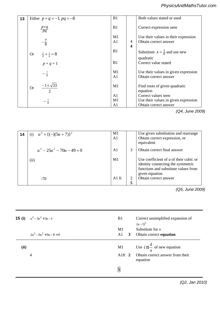| 13 | Either $p + q = -1$ , $pq = -8$                        | B1                   |                              | Both values stated or used                                    |
|----|--------------------------------------------------------|----------------------|------------------------------|---------------------------------------------------------------|
|    | $\frac{p+q}{pq}$                                       | B1                   |                              | Correct expression seen                                       |
|    | $-\frac{7}{8}$                                         | M1<br>A1             | 4<br>$\overline{\mathbf{4}}$ | Use their values in their expression<br>Obtain correct answer |
|    | $P_1P_7 + \frac{1}{q} = 8$<br>$p + q = 1$<br><b>Or</b> | B1                   |                              | Substitute $x = \frac{1}{u}$ and use new<br>quadratic         |
|    |                                                        | B <sub>1</sub>       |                              | Correct value stated                                          |
|    | $-\frac{7}{8}$                                         | M1<br>A <sub>1</sub> |                              | Use their values in given expression<br>Obtain correct answer |
|    | $\frac{-1 \pm \sqrt{33}}{2}$<br><b>Or</b>              | M1                   |                              | Find roots of given quadratic<br>equation                     |
|    |                                                        | A <sub>1</sub>       |                              | Correct values seen                                           |
|    | $-\frac{7}{8}$                                         | M1                   |                              | Use their values in given expression                          |
|    |                                                        | A1                   |                              | Obtain correct answer                                         |

*PMT*

*(Q4, June 2009)*  $\sqrt{2}$ 

| 14 | (i) $u^3 = {(-)(5u + 7)}^2$  | M1<br>A <sub>1</sub> |        | Use given substitution and rearrange<br>Obtain correct expression, or<br>equivalent                                                     |
|----|------------------------------|----------------------|--------|-----------------------------------------------------------------------------------------------------------------------------------------|
|    | $u^3 - 25u^2 - 70u - 49 = 0$ | A <sub>1</sub>       | 3      | Obtain correct final answer                                                                                                             |
|    | (ii)                         | M <sub>1</sub>       |        | Use coefficient of $u$ of their cubic or<br>identity connecting the symmetric<br>functions and substitute values from<br>given equation |
|    | $-70$                        | $A1$ ft              | 2<br>5 | Obtain correct answer                                                                                                                   |

 $\mathcal{M}^{\text{max}}$ *(Q5, June 2009)*

|      | <b>15 (i)</b> $u^3 - 3u^2 + 3u - 1$<br>$2u^3 - 6u^2 + 9u - 8 = 0$ | <b>B</b> 1<br>M1 |              | Correct unsimplified expansion of<br>$(u-1)^3$<br>Substitute for $x$ |
|------|-------------------------------------------------------------------|------------------|--------------|----------------------------------------------------------------------|
|      |                                                                   | A1               | $\mathbf{3}$ | Obtain correct equation                                              |
| (ii) |                                                                   | M1               |              | Use $(\pm)$ $\frac{d}{a}$ of new equation                            |
|      | $\overline{4}$                                                    | Alft $2$         |              | Obtain correct answer from their<br>equation                         |
|      |                                                                   | 5                |              |                                                                      |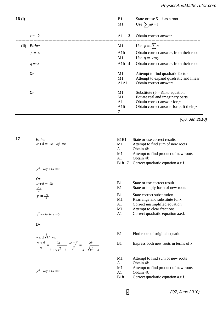| 16(i) |               | B1<br>M1       | State or use $5 + i$ as a root<br>Use $\sum \alpha \beta = 6$ |
|-------|---------------|----------------|---------------------------------------------------------------|
|       | $x = -2$      | A1<br>3        | Obtain correct answer                                         |
| (ii)  | <b>Either</b> | M1             | Use $p = -\sum \alpha$                                        |
|       | $p = -8$      | Alft           | Obtain correct answer, from their root                        |
|       |               | M1             | Use $q = -\alpha \beta \gamma$                                |
|       | $q = 52$      | Alft $4$       | Obtain correct answer, from their root                        |
|       | <b>Or</b>     | M1             | Attempt to find quadratic factor                              |
|       |               | M1             | Attempt to expand quadratic and linear                        |
|       |               | A1A1           | Obtain correct answers                                        |
|       | <b>Or</b>     | M1             | Substitute $(5 – i)$ into equation                            |
|       |               | M1             | Equate real and imaginary parts                               |
|       |               | A <sub>1</sub> | Obtain correct answer for $p$                                 |
|       |               | Alft           | Obtain correct answer for $q$ , ft their $p$                  |
|       |               | $\overline{7}$ |                                                               |

**7 (i)** B1 **1** Obtain **given** answer correctly *(Q6, Jan 2010)*

 term using **(i) 7** *Either* **17**

*PMT*

$$
Or
$$

$$
\alpha + \beta = -2k
$$
 B1  

$$
\frac{-2k}{\alpha}
$$

$$
y = \frac{-2k}{x}
$$

$$
-k \pm \sqrt{k^2 - k}
$$
  

$$
\frac{\alpha + \beta}{\alpha} = \frac{2k}{k + \sqrt{k^2 - k}}, \frac{\alpha + \beta}{\beta} = \frac{2k}{k - \sqrt{k^2 - k}}
$$

 $y^2 - 4ky + 4k = 0$ 

| Either<br>$\alpha + \beta = -2k$ $\alpha\beta = k$<br>$y^2 - 4ky + 4k = 0$                                                                            | B1B1<br>M1<br>A1<br>M1<br>A <sub>1</sub><br>B <sub>1</sub> ft $7$          | State or use correct results<br>Attempt to find sum of new roots<br>Obtain $4k$<br>Attempt to find product of new roots<br>Obtain $4k$<br>Correct quadratic equation a.e.f.                                                           |
|-------------------------------------------------------------------------------------------------------------------------------------------------------|----------------------------------------------------------------------------|---------------------------------------------------------------------------------------------------------------------------------------------------------------------------------------------------------------------------------------|
| <b>Or</b><br>$\alpha + \beta = -2k$<br>$\frac{-2k}{\alpha}$<br>$y = \frac{-2k}{x}$<br>$y^2 - 4ky + 4k = 0$                                            | B1<br>B <sub>1</sub><br>B1<br>M1<br>A <sub>1</sub><br>M1<br>A <sub>1</sub> | State or use correct result<br>State or imply form of new roots<br>State correct substitution<br>Rearrange and substitute for $x$<br>Correct unsimplified equation<br>Attempt to clear fractions<br>Correct quadratic equation a.e.f. |
| <b>Or</b><br>$-k \pm \sqrt{k^2 - k}$<br>$\frac{\alpha+\beta}{\alpha}=\frac{2k}{k+\sqrt{k^2-k}}, \frac{\alpha+\beta}{\beta}=\frac{2k}{k-\sqrt{k^2-k}}$ | B <sub>1</sub><br>B1                                                       | Find roots of original equation<br>Express both new roots in terms of $k$                                                                                                                                                             |

M1 Attempt to find sum of new roots

A1 Obtain 4*k*

M1 Attempt to find product of new roots

A1 Obtain 4*k*

B1ft Correct quadratic equation a.e.f.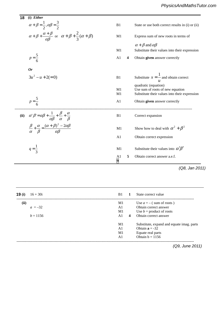**18** (i) Either  
\n
$$
\alpha + \beta = \frac{1}{2}, \alpha\beta = \frac{3}{2}
$$
  
\n $\alpha + \beta + \frac{\alpha + \beta}{\alpha\beta}$  or  $\alpha + \beta + \frac{2}{3}(\alpha + \beta)$   
\n $\beta = \frac{5}{6}$   
\n**19** State or use both correct results in (i) or (ii)  
\n $\alpha + \beta + \frac{\alpha + \beta}{\alpha\beta}$  or  $\alpha + \beta + \frac{2}{3}(\alpha + \beta)$   
\n $\beta = \frac{5}{6}$   
\n**10** Substitute their values into their expression  
\n $\beta = \frac{5}{6}$   
\n**11** Substitute  $x = \frac{1}{u}$  and obtain correct  
\n $\beta = \frac{5}{6}$   
\n**12** Substitute  $x = \frac{1}{u}$  and obtain correct  
\n $\beta = \frac{5}{6}$   
\n**13** Substitute  $x = \frac{1}{u}$  and obtain correct  
\n $\beta = \frac{5}{6}$   
\n**14** Obtain given answer correctly  
\n $\beta = \frac{5}{6}$   
\n**15** Obtain correct expression  
\n $\beta = \frac{1}{\alpha} + \frac{\alpha}{\beta} = \frac{(\alpha + \beta)^2 - 2\alpha\beta}{\alpha\beta}$   
\n**16** Correct expansion  
\n $\beta = \frac{1}{3}$   
\n**17** Substitute their values into their expression  
\n $\beta = \frac{1}{3}$   
\n**18** Correct expansion  
\n $\beta = \frac{1}{3}$   
\n**19** Substitute their values into  $\alpha' \beta'$   
\n $\beta$   
\n**10** Substitute their values into  $\alpha' \beta'$   
\n $\beta$   
\n**11** Substitute their values into  $\alpha' \beta'$   
\n $\beta$   
\n**12** Obtain correct answer a.e.f.  
\n**13**

 $\overline{T}$ 

 **19** *a* = 1 or 6 A1A1 **3** Obtain correct answer, ft their (i) ------------------------------------------------------------------------------------------------------------------------------------------------  $\textbf{(ii)}$  Use  $a = -$  (sum of roots )  $a = -32$  A1 Obtain correct answer  $M1$  Use  $b =$  product of roots  $b = 1156$  **A1 4** Obtain correct answer consistent with the Substitute, expand and equate imag. parts **1 10 (i)** M1Use correct denominator **9 (i) 16** + 30i **16** + 30i **16** + 30i **16** + 30i **16** + 30i **16** + 30i **16** + 30i **16** + 30i **16** + 30i **16** + 30i **16** + 30i **16** + 30i **16** + 30i **16** + 30i **16** + 30i **16** + 30i **16** + 30i **16** + 30i **16** + 30i **16** A1 Obtain  $\mathbf{a} = -3\overline{2}$  M1 Equate real parts A1 Obtain  $b = 1156$ ------------------------------------------------------------------------------------------------------------------------------------------------  **(iii)** M1 Attempt to equate real and imaginary *(Q9, June 2011)*

 $\frac{9}{2}$  or  $\frac{9}{2}$  or  $\frac{1}{2}$   $\frac{1}{2}$   $\frac{1}{2}$   $\frac{1}{2}$   $\frac{1}{2}$   $\frac{1}{2}$   $\frac{1}{2}$   $\frac{1}{2}$   $\frac{1}{2}$   $\frac{1}{2}$   $\frac{1}{2}$   $\frac{1}{2}$   $\frac{1}{2}$   $\frac{1}{2}$   $\frac{1}{2}$   $\frac{1}{2}$   $\frac{1}{2}$   $\frac{1}{2}$   $\frac{1}{2}$   $\frac{1$ 

A1 **2** Obtain **given** answer correctly  $\mathbf{16}$  – 30i or  $\mathbf{16}$  – 30i or  $\mathbf{16}$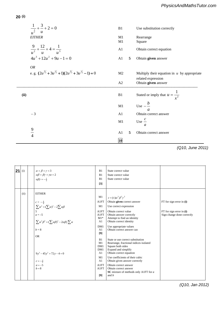$$
20 (i)
$$

*PMT*

$$
\frac{1}{u^{\frac{3}{2}}} + \frac{3}{u} + 2 = 0
$$
  
\n $2u^{\frac{3}{2}} + \frac{12}{u} + 4 = \frac{1}{u^3}$   
\n $4u^3 + 12u^2 + 9u - 1 = 0$   
\n $4u^3 + 12u^2 + 3u^2/2 + 112u^3/2 + 3u^2/2 - 1 = 0$   
\n $5u^2 + 11u^2 + 11u^2 + 3u^2/2 - 1 = 0$   
\n $6u^2 + 3u^2/2 + 11u^2/2 + 3u^2/2 - 1 = 0$   
\n $6u^2 + 3u^2/2 + 11u^2/2 + 3u^2/2 - 1 = 0$   
\n $6u^2 + 3u^2/2 + 11u^2/2 + 3u^2/2 - 1 = 0$   
\n $6u^2 + 3u^2/2 + 11u^2/2 + 3u^2/2 - 1 = 0$   
\n $6u^2 + 3u^2/2 + 11u^2/2 + 3u^2/2 - 1 = 0$   
\n $6u^2 + 3u^2/2 + 11u^2/2 + 3u^2/2 - 1 = 0$   
\n $6u^2 + 3u^2/2 + 11u^2/2 + 3u^2/2 - 1 = 0$   
\n $6u^2 + 3u^2/2 + 11u^2/2 + 3u^2/2 - 1 = 0$   
\n $6u^2 + 3u^2/2 + 11u^2/2 + 3u^2/2 - 1 = 0$   
\n $6u^2 + 3u^2/2 + 11u^2/2 + 3u^2/2 - 1 = 0$   
\n $6u^2 + 3u^2/2 + 11u^2/2 + 3u^2/2 - 1 = 0$   
\n $6u^2 + 3u^2/2 + 11u^2/2 + 3u^2/2 - 1 = 0$   
\n $6u^2 + 3u^2/2 + 11u^2/2 + 3u^2/2 - 1$ 

*(Q10, June 2011)*

| <b>PMT</b><br>21 | (i)  | $\alpha + \beta + \gamma = 3$<br>$\alpha\beta+\beta\gamma+\gamma\alpha=2$<br>$\alpha\beta\gamma=-\frac{2}{3}$                                                                                                                                                                                                                                                            | B1<br>B1<br>B1<br>$[3]$                                                                                                                                                                | State correct value<br>State correct value<br>State correct value                                                                                                                                                                                                                                                                                                                                                                                                                                                                                                                                      |                                                                                        |
|------------------|------|--------------------------------------------------------------------------------------------------------------------------------------------------------------------------------------------------------------------------------------------------------------------------------------------------------------------------------------------------------------------------|----------------------------------------------------------------------------------------------------------------------------------------------------------------------------------------|--------------------------------------------------------------------------------------------------------------------------------------------------------------------------------------------------------------------------------------------------------------------------------------------------------------------------------------------------------------------------------------------------------------------------------------------------------------------------------------------------------------------------------------------------------------------------------------------------------|----------------------------------------------------------------------------------------|
|                  | (ii) | <b>EITHER</b><br>$c = -\frac{4}{9}$<br>$\sum_{\alpha=0}^{\infty} \alpha^2 = (\sum_{\alpha=0}^{\infty} \alpha^2 - 2\sum_{\alpha=0}^{\infty} \alpha \beta)$<br>$a = -5$<br>$a = -5$<br>$\sum \alpha^2 \beta^2 = (\sum \alpha \beta)^2 - 2\alpha \beta \gamma \sum \alpha$<br>$b=8$<br><b>OR</b><br>$9y^3 - 45y^2 + 72y - 4 = 0$<br>$c = -\frac{4}{9}$<br>$a = -5$<br>$b=8$ | M1<br>A1FT<br>M1<br>A1FT<br>A1FT<br>$M1*$<br>A <sub>1</sub><br>DM1<br>A <sub>1</sub><br>[9]<br>B1<br>M1<br>DM1<br>DM1<br>A <sub>1</sub><br>M1<br>A <sub>1</sub><br>A1FT<br>A1FT<br>[9] | $c = (\pm)\alpha^2\beta^2\gamma^2$<br>Obtain given correct answer<br>Use correct expression<br>Obtain correct value<br>Obtain answer correctly<br>Attempt to find an identity<br>Obtain correct identity<br>Use appropriate values<br>Obtain correct answer cao<br>State or use correct substitution<br>Rearrange, fractional indices isolated<br>Square both sides<br>Expand and simplify<br>Obtain correct equation<br>Use coefficients of their cubic<br>Obtain given answer correctly<br>Obtain correct answer<br>Obtain correct answer<br><b>SC</b> mixture of methods only A1FT for a<br>and $b$ | FT for sign error in $(i)$<br>FT for sign error in $(i)$<br>Sign change done correctly |

*(Q10, Jan 2012)*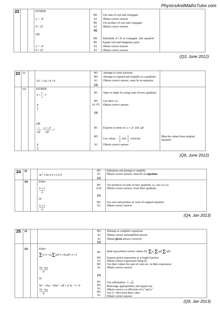## *PhysicsAndMathsTutor.com*

| 22 | <b>EITHER</b> |                |                                              |  |
|----|---------------|----------------|----------------------------------------------|--|
|    |               | M1             | Use sum of root and conjugate                |  |
|    | $a = -8$      | A <sub>1</sub> | Obtain correct answer                        |  |
|    |               | M1             | Use product of root and conjugate            |  |
|    | $b = 25$      | A <sub>1</sub> | Obtain correct answer                        |  |
|    |               | $[4]$          |                                              |  |
|    | <b>OR</b>     |                |                                              |  |
|    |               | M1             | Substitute $4+3i$ or conjugate into equation |  |
|    |               | M1             | Equate real and imaginary parts              |  |
|    | $a = -8$      | A <sub>1</sub> | Obtain correct answer                        |  |
|    | $b = 25$      | A <sub>1</sub> | Obtain correct answer                        |  |

*PMT*

*PMT*

*PMT*

*(Q3, June 2012)*

|    |      | $+$                                                    |                |                                                        |                                          |
|----|------|--------------------------------------------------------|----------------|--------------------------------------------------------|------------------------------------------|
| 23 | (i)  |                                                        | M1             | Attempt to clear fractions                             |                                          |
|    |      | $+$                                                    | M1             | Attempt to expand and simplify to a quadratic          |                                          |
|    |      | $5u^2 + 11u + 8 = 0$                                   | A <sub>1</sub> | Obtain correct answer, must be an equation             |                                          |
|    |      |                                                        | $[3]$          |                                                        |                                          |
|    | (ii) | <b>EITHER</b>                                          |                |                                                        |                                          |
|    |      | $u = \frac{1}{2} - 1$<br>$\boldsymbol{x}$              | B1             | State or imply by using roots of new quadratic         |                                          |
|    |      |                                                        | M1             | Use their $c/a$                                        |                                          |
|    |      |                                                        | A1 FT          | Obtain correct answer                                  |                                          |
|    |      | $\frac{8}{5}$                                          |                |                                                        |                                          |
|    |      |                                                        | $[3]$          |                                                        |                                          |
|    |      |                                                        |                |                                                        |                                          |
|    |      | <b>OR</b>                                              |                |                                                        |                                          |
|    |      |                                                        | B1             |                                                        |                                          |
|    |      | $\alpha + \beta + 1$<br>$\alpha\beta$<br>$\alpha\beta$ |                | Express in terms of $\alpha + \beta$ and $\alpha\beta$ |                                          |
|    |      |                                                        |                |                                                        |                                          |
|    |      |                                                        | M1             | Use values $-\frac{1}{2}$ and $\frac{5}{2}$ correctly  | Must be values from original<br>equation |
|    |      | 8                                                      | A <sub>1</sub> | Obtain correct answer                                  |                                          |
|    |      | $\frac{1}{5}$                                          |                |                                                        |                                          |

## *(Q6, June 2012)*

| 24 | (i)  |                         | M1             | Substitute and attempt to simplify                          |
|----|------|-------------------------|----------------|-------------------------------------------------------------|
|    |      | $4u^2 + 6u + k + 2 = 0$ | A <sub>1</sub> | Obtain correct answer, must be an equation                  |
|    |      |                         | $[2]$          |                                                             |
|    | (ii) | Either                  |                |                                                             |
|    |      |                         | M1             | Use products of roots of new quadratic i.e. use $(\pm)$ c/a |
|    |      | $k+2$                   | Alft           | Obtain correct answer, from their quadratic                 |
|    |      | $\overline{4}$          |                |                                                             |
|    |      |                         | $[2]$          |                                                             |
|    |      | 0r                      |                |                                                             |
|    |      |                         | M1             | Use sum and product of roots of original equation           |
|    |      | $k + 2$                 | A <sub>1</sub> | Obtain correct answer                                       |
|    |      |                         |                |                                                             |

**4725 Mark Scheme January 2013** 

**2 3 72 72 O O Obtain correct 3 term quadratic 3 term quadratic 3 term quadratic 3 term quadratic 3 term quadratic** 

*<sup>(</sup>Q4, Jan 2013)*

| 25 | (i)  |                                                                                                     | M1                                                 | Attempt at complete expansion                                                                                                                                                                                                                                                       |
|----|------|-----------------------------------------------------------------------------------------------------|----------------------------------------------------|-------------------------------------------------------------------------------------------------------------------------------------------------------------------------------------------------------------------------------------------------------------------------------------|
|    |      |                                                                                                     | A <sub>1</sub>                                     | Obtain correct unsimplified answer                                                                                                                                                                                                                                                  |
|    |      |                                                                                                     | A <sub>1</sub>                                     | Obtain given answer correctly                                                                                                                                                                                                                                                       |
|    |      |                                                                                                     | $[3]$                                              |                                                                                                                                                                                                                                                                                     |
|    | (ii) | Either<br>$\sum \alpha = -p, \sum \alpha \beta = -4, \alpha \beta \gamma = -3$<br>$\frac{16-6p}{9}$ | B1<br>M1<br>A <sub>1</sub><br>M1<br>A <sub>1</sub> | State (anywhere) correct values for $\sum \alpha$ , $\sum \alpha \beta$ , $\sum \alpha \beta \gamma$<br>Express given expression as a single fraction<br>Obtain correct expression using (i)<br>Use their values for sum of roots etc. in their expression<br>Obtain correct answer |
|    |      | Or                                                                                                  | $\lceil 5 \rceil$                                  |                                                                                                                                                                                                                                                                                     |
|    |      | $9u^3 + (6p - 16)u^2 + (8 + p^2)u - 1 = 0$<br>$\frac{16-6p}{9}$                                     | B1<br>M1<br>A <sub>1</sub><br>M1<br>A <sub>1</sub> | Use substitution $1/\sqrt{u}$<br>Rearrange appropriately and square out<br>Obtain correct co-efficients of $u^3$ and $u^2$<br>Use $(+/-)$ b/a from their cubic<br>Obtain correct answer                                                                                             |

*(Q9, Jan 2013)*